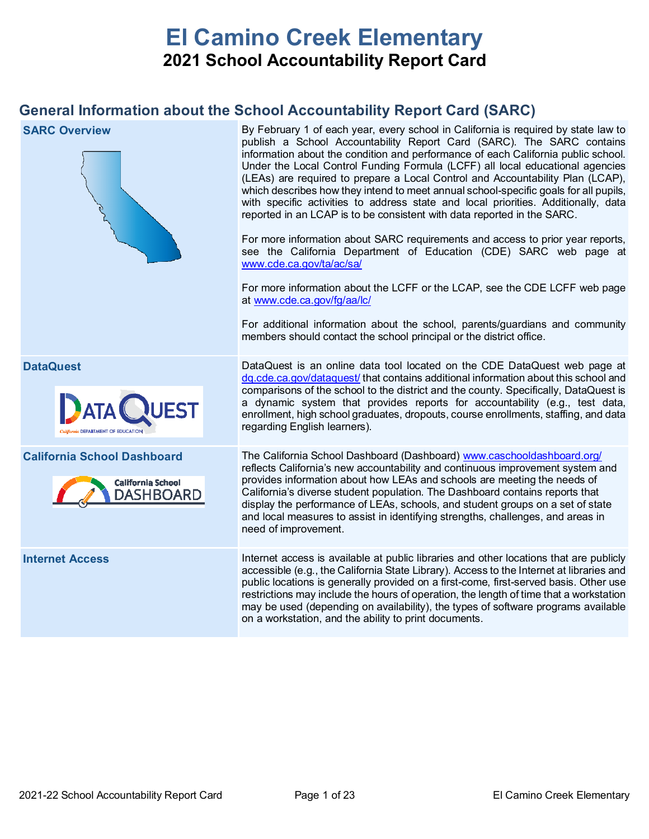# **El Camino Creek Elementary 2021 School Accountability Report Card**

# **General Information about the School Accountability Report Card (SARC)**

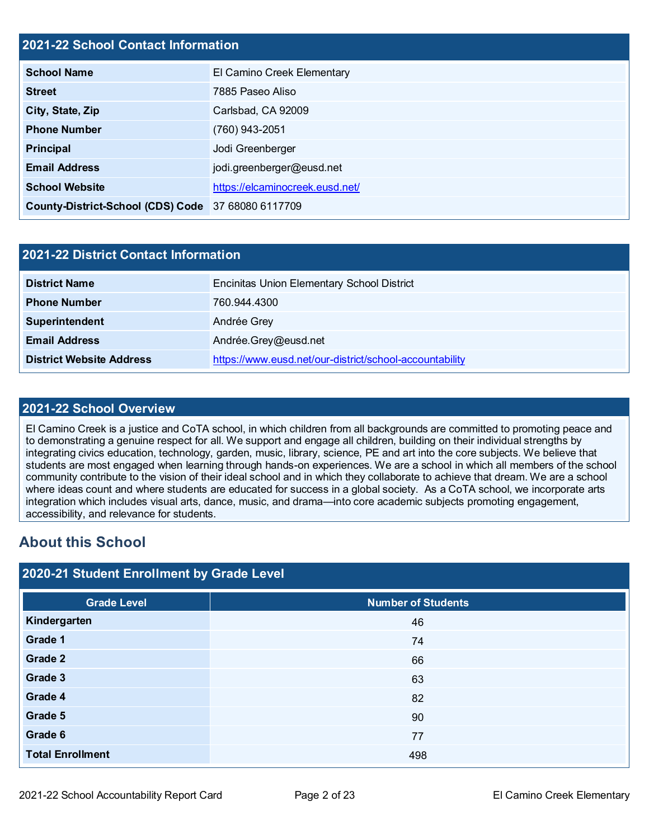#### **2021-22 School Contact Information**

| <b>School Name</b>                                 | El Camino Creek Elementary      |
|----------------------------------------------------|---------------------------------|
| <b>Street</b>                                      | 7885 Paseo Aliso                |
| City, State, Zip                                   | Carlsbad, CA 92009              |
| <b>Phone Number</b>                                | (760) 943-2051                  |
| <b>Principal</b>                                   | Jodi Greenberger                |
| <b>Email Address</b>                               | jodi.greenberger@eusd.net       |
| <b>School Website</b>                              | https://elcaminocreek.eusd.net/ |
| County-District-School (CDS) Code 37 68080 6117709 |                                 |

| 2021-22 District Contact Information |                                                         |  |  |  |
|--------------------------------------|---------------------------------------------------------|--|--|--|
| <b>District Name</b>                 | <b>Encinitas Union Elementary School District</b>       |  |  |  |
| <b>Phone Number</b>                  | 760.944.4300                                            |  |  |  |
| Superintendent                       | Andrée Grey                                             |  |  |  |
| <b>Email Address</b>                 | Andrée.Grey@eusd.net                                    |  |  |  |
| <b>District Website Address</b>      | https://www.eusd.net/our-district/school-accountability |  |  |  |

#### **2021-22 School Overview**

El Camino Creek is a justice and CoTA school, in which children from all backgrounds are committed to promoting peace and to demonstrating a genuine respect for all. We support and engage all children, building on their individual strengths by integrating civics education, technology, garden, music, library, science, PE and art into the core subjects. We believe that students are most engaged when learning through hands-on experiences. We are a school in which all members of the school community contribute to the vision of their ideal school and in which they collaborate to achieve that dream. We are a school where ideas count and where students are educated for success in a global society. As a CoTA school, we incorporate arts integration which includes visual arts, dance, music, and drama—into core academic subjects promoting engagement, accessibility, and relevance for students.

# **About this School**

#### **2020-21 Student Enrollment by Grade Level**

| <b>Grade Level</b>      | <b>Number of Students</b> |
|-------------------------|---------------------------|
| Kindergarten            | 46                        |
| Grade 1                 | 74                        |
| Grade 2                 | 66                        |
| Grade 3                 | 63                        |
| Grade 4                 | 82                        |
| Grade 5                 | 90                        |
| Grade 6                 | 77                        |
| <b>Total Enrollment</b> | 498                       |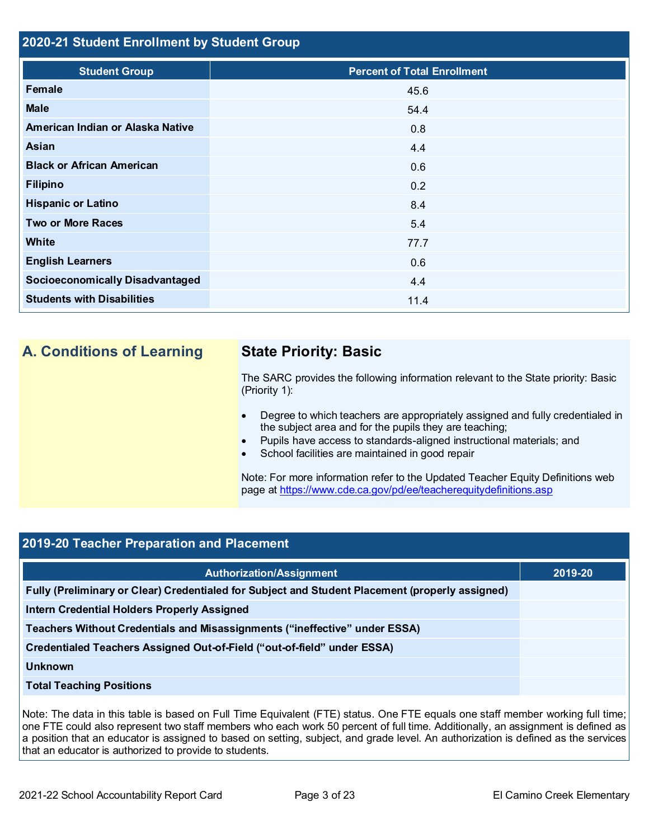#### **2020-21 Student Enrollment by Student Group**

| <b>Student Group</b>                   | <b>Percent of Total Enrollment</b> |
|----------------------------------------|------------------------------------|
| Female                                 | 45.6                               |
| <b>Male</b>                            | 54.4                               |
| American Indian or Alaska Native       | 0.8                                |
| Asian                                  | 4.4                                |
| <b>Black or African American</b>       | 0.6                                |
| <b>Filipino</b>                        | 0.2                                |
| <b>Hispanic or Latino</b>              | 8.4                                |
| <b>Two or More Races</b>               | 5.4                                |
| <b>White</b>                           | 77.7                               |
| <b>English Learners</b>                | 0.6                                |
| <b>Socioeconomically Disadvantaged</b> | 4.4                                |
| <b>Students with Disabilities</b>      | 11.4                               |

# **A. Conditions of Learning State Priority: Basic**

The SARC provides the following information relevant to the State priority: Basic (Priority 1):

- Degree to which teachers are appropriately assigned and fully credentialed in the subject area and for the pupils they are teaching;
- Pupils have access to standards-aligned instructional materials; and
- School facilities are maintained in good repair

Note: For more information refer to the Updated Teacher Equity Definitions web page at<https://www.cde.ca.gov/pd/ee/teacherequitydefinitions.asp>

## **2019-20 Teacher Preparation and Placement**

| <b>Authorization/Assignment</b>                                                                 | 2019-20 |
|-------------------------------------------------------------------------------------------------|---------|
| Fully (Preliminary or Clear) Credentialed for Subject and Student Placement (properly assigned) |         |
| <b>Intern Credential Holders Properly Assigned</b>                                              |         |
| Teachers Without Credentials and Misassignments ("ineffective" under ESSA)                      |         |
| Credentialed Teachers Assigned Out-of-Field ("out-of-field" under ESSA)                         |         |
| <b>Unknown</b>                                                                                  |         |
| <b>Total Teaching Positions</b>                                                                 |         |

Note: The data in this table is based on Full Time Equivalent (FTE) status. One FTE equals one staff member working full time; one FTE could also represent two staff members who each work 50 percent of full time. Additionally, an assignment is defined as a position that an educator is assigned to based on setting, subject, and grade level. An authorization is defined as the services that an educator is authorized to provide to students.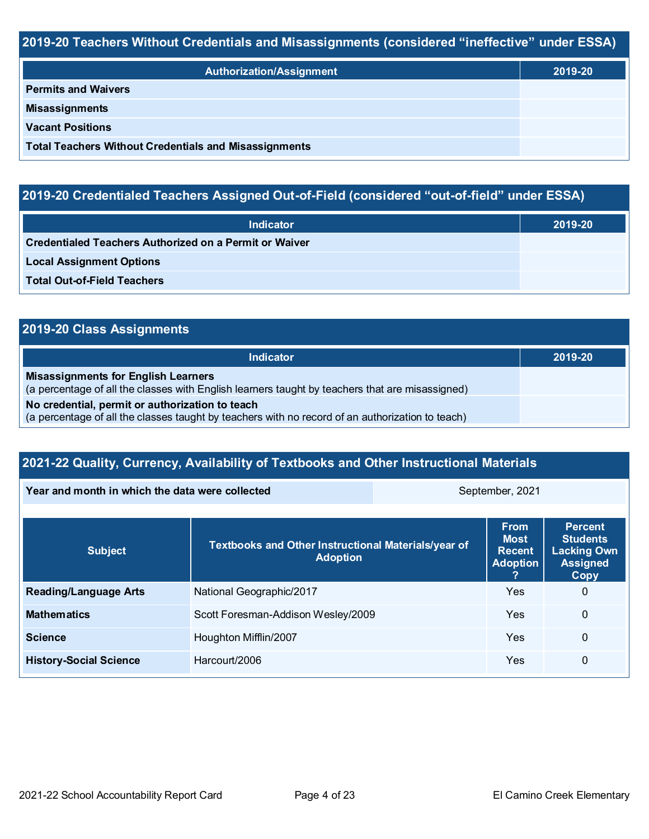### **2019-20 Teachers Without Credentials and Misassignments (considered "ineffective" under ESSA)**

| <b>Authorization/Assignment</b>                              | 2019-20 |
|--------------------------------------------------------------|---------|
| <b>Permits and Waivers</b>                                   |         |
| <b>Misassignments</b>                                        |         |
| <b>Vacant Positions</b>                                      |         |
| <b>Total Teachers Without Credentials and Misassignments</b> |         |

# **2019-20 Credentialed Teachers Assigned Out-of-Field (considered "out-of-field" under ESSA)**

| <b>Indicator</b>                                       | 2019-20 |
|--------------------------------------------------------|---------|
| Credentialed Teachers Authorized on a Permit or Waiver |         |
| <b>Local Assignment Options</b>                        |         |
| <b>Total Out-of-Field Teachers</b>                     |         |

# **2019-20 Class Assignments**

| Indicator                                                                                                                                           | 2019-20 |
|-----------------------------------------------------------------------------------------------------------------------------------------------------|---------|
| <b>Misassignments for English Learners</b><br>(a percentage of all the classes with English learners taught by teachers that are misassigned)       |         |
| No credential, permit or authorization to teach<br>(a percentage of all the classes taught by teachers with no record of an authorization to teach) |         |

# **2021-22 Quality, Currency, Availability of Textbooks and Other Instructional Materials**

| Year and month in which the data were collected | September, 2021                                                        |                                                                |                                                                                    |   |
|-------------------------------------------------|------------------------------------------------------------------------|----------------------------------------------------------------|------------------------------------------------------------------------------------|---|
| <b>Subject</b>                                  | Textbooks and Other Instructional Materials/year of<br><b>Adoption</b> | <b>From</b><br><b>Most</b><br><b>Recent</b><br><b>Adoption</b> | <b>Percent</b><br><b>Students</b><br><b>Lacking Own</b><br><b>Assigned</b><br>Copy |   |
| <b>Reading/Language Arts</b>                    | National Geographic/2017                                               |                                                                | Yes                                                                                | 0 |
| <b>Mathematics</b>                              | Scott Foresman-Addison Wesley/2009                                     |                                                                | Yes                                                                                | 0 |
| <b>Science</b>                                  | Houghton Mifflin/2007                                                  |                                                                | Yes                                                                                | 0 |

**History-Social Science Harcourt/2006 Western Construction Construction Construction Construction Construction Construction Construction Construction Construction Construction Construction Construction Construction Con**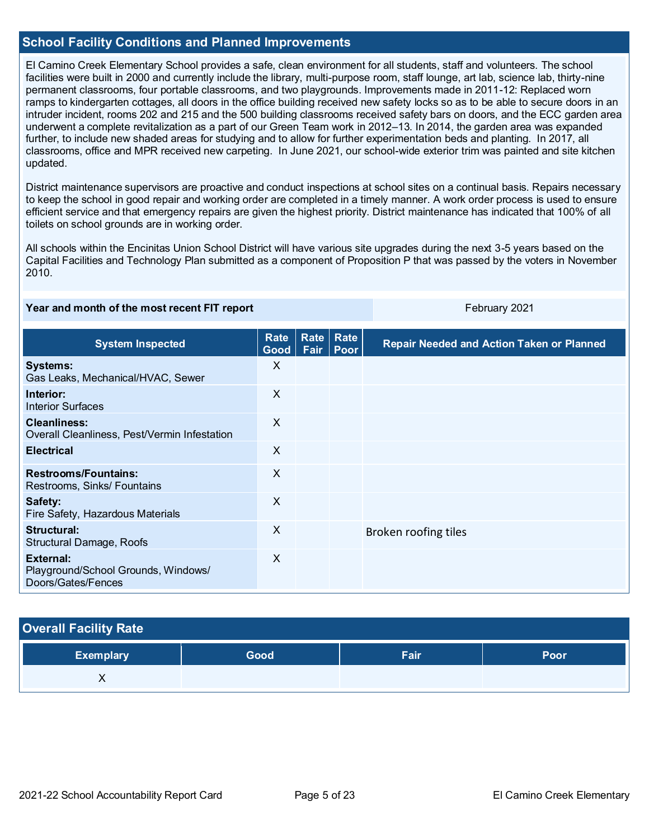#### **School Facility Conditions and Planned Improvements**

El Camino Creek Elementary School provides a safe, clean environment for all students, staff and volunteers. The school facilities were built in 2000 and currently include the library, multi-purpose room, staff lounge, art lab, science lab, thirty-nine permanent classrooms, four portable classrooms, and two playgrounds. Improvements made in 2011-12: Replaced worn ramps to kindergarten cottages, all doors in the office building received new safety locks so as to be able to secure doors in an intruder incident, rooms 202 and 215 and the 500 building classrooms received safety bars on doors, and the ECC garden area underwent a complete revitalization as a part of our Green Team work in 2012–13. In 2014, the garden area was expanded further, to include new shaded areas for studying and to allow for further experimentation beds and planting. In 2017, all classrooms, office and MPR received new carpeting. In June 2021, our school-wide exterior trim was painted and site kitchen updated.

District maintenance supervisors are proactive and conduct inspections at school sites on a continual basis. Repairs necessary to keep the school in good repair and working order are completed in a timely manner. A work order process is used to ensure efficient service and that emergency repairs are given the highest priority. District maintenance has indicated that 100% of all toilets on school grounds are in working order.

All schools within the Encinitas Union School District will have various site upgrades during the next 3-5 years based on the Capital Facilities and Technology Plan submitted as a component of Proposition P that was passed by the voters in November 2010.

#### **Year and month of the most recent FIT report** February 2021

| <b>System Inspected</b>                                                | <b>Rate</b><br>Good <sub>1</sub> | Rate | <b>Rate</b><br>Fair   Poor | <b>Repair Needed and Action Taken or Planned</b> |
|------------------------------------------------------------------------|----------------------------------|------|----------------------------|--------------------------------------------------|
| <b>Systems:</b><br>Gas Leaks, Mechanical/HVAC, Sewer                   | X                                |      |                            |                                                  |
| Interior:<br><b>Interior Surfaces</b>                                  | $\sf X$                          |      |                            |                                                  |
| <b>Cleanliness:</b><br>Overall Cleanliness, Pest/Vermin Infestation    | $\sf X$                          |      |                            |                                                  |
| <b>Electrical</b>                                                      | $\times$                         |      |                            |                                                  |
| <b>Restrooms/Fountains:</b><br>Restrooms, Sinks/ Fountains             | $\times$                         |      |                            |                                                  |
| Safety:<br>Fire Safety, Hazardous Materials                            | $\sf X$                          |      |                            |                                                  |
| Structural:<br>Structural Damage, Roofs                                | $\times$                         |      |                            | Broken roofing tiles                             |
| External:<br>Playground/School Grounds, Windows/<br>Doors/Gates/Fences | $\sf X$                          |      |                            |                                                  |

#### **Overall Facility Rate**

| Exemplary | Good | Fair | Poor |
|-----------|------|------|------|
|           |      |      |      |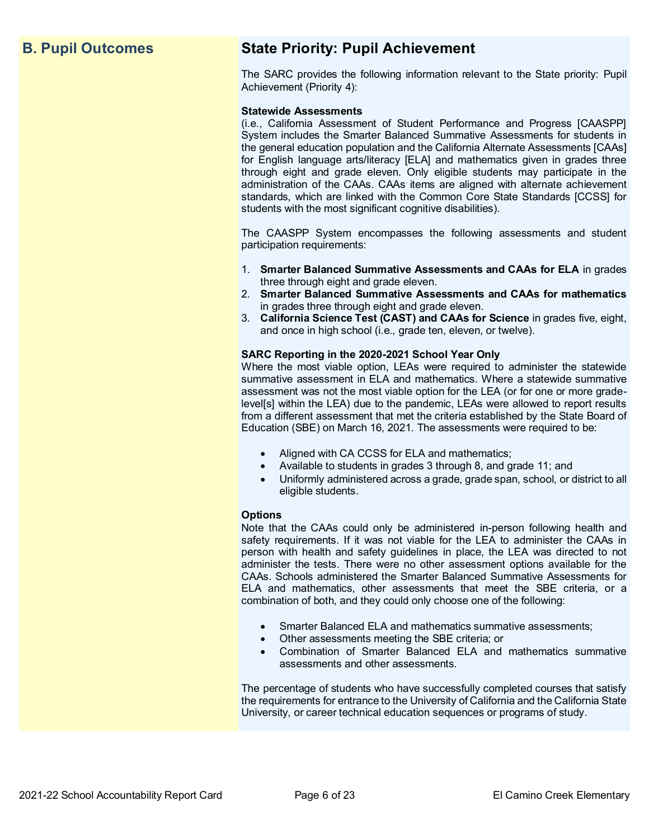# **B. Pupil Outcomes State Priority: Pupil Achievement**

The SARC provides the following information relevant to the State priority: Pupil Achievement (Priority 4):

#### **Statewide Assessments**

(i.e., California Assessment of Student Performance and Progress [CAASPP] System includes the Smarter Balanced Summative Assessments for students in the general education population and the California Alternate Assessments [CAAs] for English language arts/literacy [ELA] and mathematics given in grades three through eight and grade eleven. Only eligible students may participate in the administration of the CAAs. CAAs items are aligned with alternate achievement standards, which are linked with the Common Core State Standards [CCSS] for students with the most significant cognitive disabilities).

The CAASPP System encompasses the following assessments and student participation requirements:

- 1. **Smarter Balanced Summative Assessments and CAAs for ELA** in grades three through eight and grade eleven.
- 2. **Smarter Balanced Summative Assessments and CAAs for mathematics** in grades three through eight and grade eleven.
- 3. **California Science Test (CAST) and CAAs for Science** in grades five, eight, and once in high school (i.e., grade ten, eleven, or twelve).

#### **SARC Reporting in the 2020-2021 School Year Only**

Where the most viable option, LEAs were required to administer the statewide summative assessment in ELA and mathematics. Where a statewide summative assessment was not the most viable option for the LEA (or for one or more gradelevel[s] within the LEA) due to the pandemic, LEAs were allowed to report results from a different assessment that met the criteria established by the State Board of Education (SBE) on March 16, 2021. The assessments were required to be:

- Aligned with CA CCSS for ELA and mathematics;
- Available to students in grades 3 through 8, and grade 11; and
- Uniformly administered across a grade, grade span, school, or district to all eligible students.

#### **Options**

Note that the CAAs could only be administered in-person following health and safety requirements. If it was not viable for the LEA to administer the CAAs in person with health and safety guidelines in place, the LEA was directed to not administer the tests. There were no other assessment options available for the CAAs. Schools administered the Smarter Balanced Summative Assessments for ELA and mathematics, other assessments that meet the SBE criteria, or a combination of both, and they could only choose one of the following:

- Smarter Balanced ELA and mathematics summative assessments;
- Other assessments meeting the SBE criteria; or
- Combination of Smarter Balanced ELA and mathematics summative assessments and other assessments.

The percentage of students who have successfully completed courses that satisfy the requirements for entrance to the University of California and the California State University, or career technical education sequences or programs of study.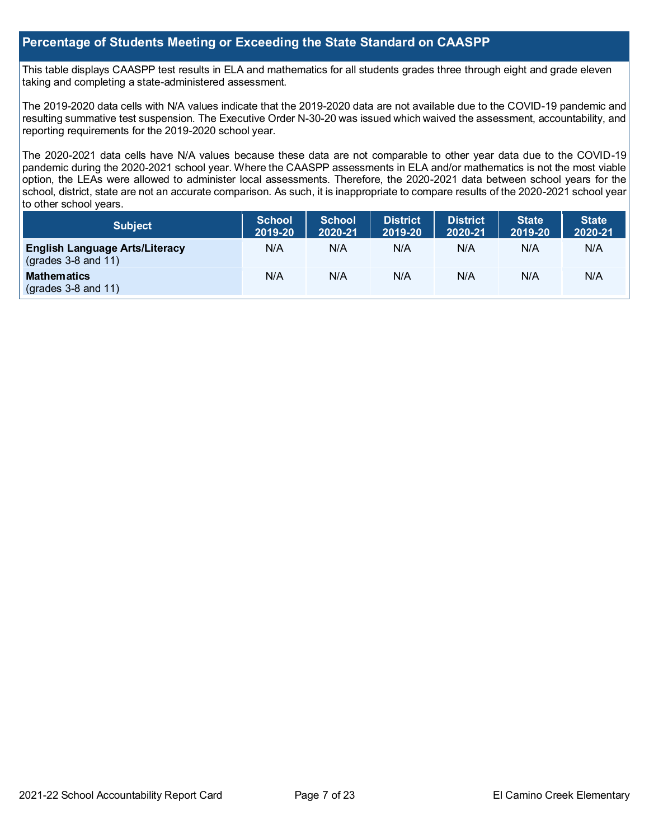#### **Percentage of Students Meeting or Exceeding the State Standard on CAASPP**

This table displays CAASPP test results in ELA and mathematics for all students grades three through eight and grade eleven taking and completing a state-administered assessment.

The 2019-2020 data cells with N/A values indicate that the 2019-2020 data are not available due to the COVID-19 pandemic and resulting summative test suspension. The Executive Order N-30-20 was issued which waived the assessment, accountability, and reporting requirements for the 2019-2020 school year.

The 2020-2021 data cells have N/A values because these data are not comparable to other year data due to the COVID-19 pandemic during the 2020-2021 school year. Where the CAASPP assessments in ELA and/or mathematics is not the most viable option, the LEAs were allowed to administer local assessments. Therefore, the 2020-2021 data between school years for the school, district, state are not an accurate comparison. As such, it is inappropriate to compare results of the 2020-2021 school year to other school years.

| <b>Subject</b>                                                       | <b>School</b><br>2019-20 | <b>School</b><br>2020-21 | <b>District</b><br>2019-20 | <b>District</b><br>2020-21 | <b>State</b><br>2019-20 | State <sup>1</sup><br>2020-21 |
|----------------------------------------------------------------------|--------------------------|--------------------------|----------------------------|----------------------------|-------------------------|-------------------------------|
| <b>English Language Arts/Literacy</b><br>$\left($ grades 3-8 and 11) | N/A                      | N/A                      | N/A                        | N/A                        | N/A                     | N/A                           |
| <b>Mathematics</b><br>$\left($ grades 3-8 and 11)                    | N/A                      | N/A                      | N/A                        | N/A                        | N/A                     | N/A                           |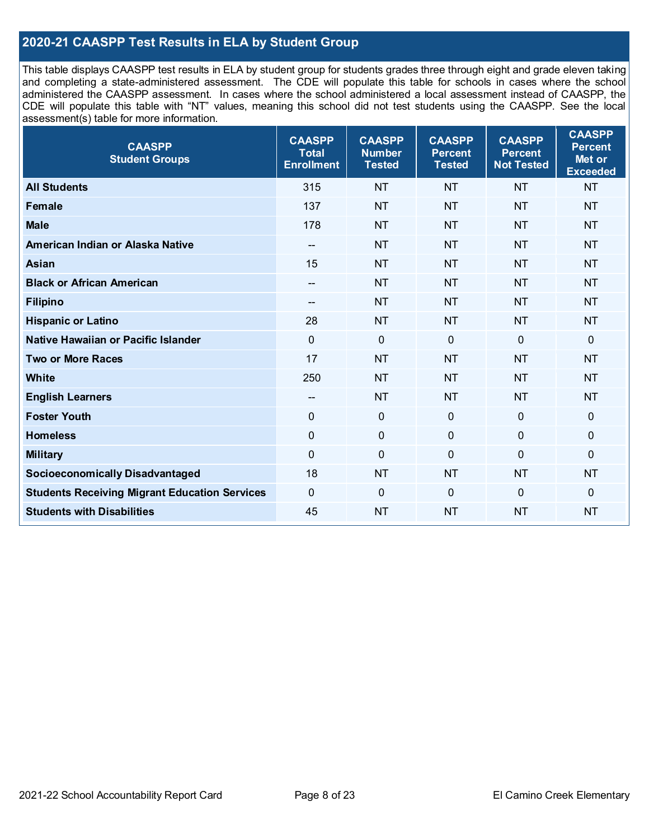### **2020-21 CAASPP Test Results in ELA by Student Group**

This table displays CAASPP test results in ELA by student group for students grades three through eight and grade eleven taking and completing a state-administered assessment. The CDE will populate this table for schools in cases where the school administered the CAASPP assessment. In cases where the school administered a local assessment instead of CAASPP, the CDE will populate this table with "NT" values, meaning this school did not test students using the CAASPP. See the local assessment(s) table for more information.

| <b>CAASPP</b><br><b>Student Groups</b>               | <b>CAASPP</b><br><b>Total</b><br><b>Enrollment</b> | <b>CAASPP</b><br><b>Number</b><br><b>Tested</b> | <b>CAASPP</b><br><b>Percent</b><br><b>Tested</b> | <b>CAASPP</b><br><b>Percent</b><br><b>Not Tested</b> | <b>CAASPP</b><br><b>Percent</b><br>Met or<br><b>Exceeded</b> |
|------------------------------------------------------|----------------------------------------------------|-------------------------------------------------|--------------------------------------------------|------------------------------------------------------|--------------------------------------------------------------|
| <b>All Students</b>                                  | 315                                                | <b>NT</b>                                       | <b>NT</b>                                        | <b>NT</b>                                            | <b>NT</b>                                                    |
| <b>Female</b>                                        | 137                                                | <b>NT</b>                                       | <b>NT</b>                                        | <b>NT</b>                                            | <b>NT</b>                                                    |
| <b>Male</b>                                          | 178                                                | <b>NT</b>                                       | <b>NT</b>                                        | <b>NT</b>                                            | <b>NT</b>                                                    |
| American Indian or Alaska Native                     | --                                                 | <b>NT</b>                                       | <b>NT</b>                                        | <b>NT</b>                                            | <b>NT</b>                                                    |
| <b>Asian</b>                                         | 15                                                 | <b>NT</b>                                       | <b>NT</b>                                        | <b>NT</b>                                            | <b>NT</b>                                                    |
| <b>Black or African American</b>                     | --                                                 | <b>NT</b>                                       | <b>NT</b>                                        | <b>NT</b>                                            | <b>NT</b>                                                    |
| <b>Filipino</b>                                      |                                                    | <b>NT</b>                                       | <b>NT</b>                                        | <b>NT</b>                                            | <b>NT</b>                                                    |
| <b>Hispanic or Latino</b>                            | 28                                                 | <b>NT</b>                                       | <b>NT</b>                                        | <b>NT</b>                                            | <b>NT</b>                                                    |
| Native Hawaiian or Pacific Islander                  | $\overline{0}$                                     | $\mathbf 0$                                     | $\mathbf 0$                                      | $\overline{0}$                                       | 0                                                            |
| <b>Two or More Races</b>                             | 17                                                 | <b>NT</b>                                       | <b>NT</b>                                        | <b>NT</b>                                            | <b>NT</b>                                                    |
| <b>White</b>                                         | 250                                                | <b>NT</b>                                       | <b>NT</b>                                        | <b>NT</b>                                            | <b>NT</b>                                                    |
| <b>English Learners</b>                              | $\overline{\phantom{a}}$                           | <b>NT</b>                                       | <b>NT</b>                                        | <b>NT</b>                                            | <b>NT</b>                                                    |
| <b>Foster Youth</b>                                  | 0                                                  | $\mathbf 0$                                     | $\mathbf 0$                                      | $\overline{0}$                                       | $\mathbf 0$                                                  |
| <b>Homeless</b>                                      | $\mathbf 0$                                        | $\pmb{0}$                                       | $\mathbf 0$                                      | $\mathbf 0$                                          | 0                                                            |
| <b>Military</b>                                      | 0                                                  | $\pmb{0}$                                       | $\overline{0}$                                   | $\overline{0}$                                       | 0                                                            |
| <b>Socioeconomically Disadvantaged</b>               | 18                                                 | <b>NT</b>                                       | <b>NT</b>                                        | <b>NT</b>                                            | <b>NT</b>                                                    |
| <b>Students Receiving Migrant Education Services</b> | 0                                                  | $\mathbf 0$                                     | $\Omega$                                         | $\mathbf 0$                                          | 0                                                            |
| <b>Students with Disabilities</b>                    | 45                                                 | <b>NT</b>                                       | <b>NT</b>                                        | <b>NT</b>                                            | <b>NT</b>                                                    |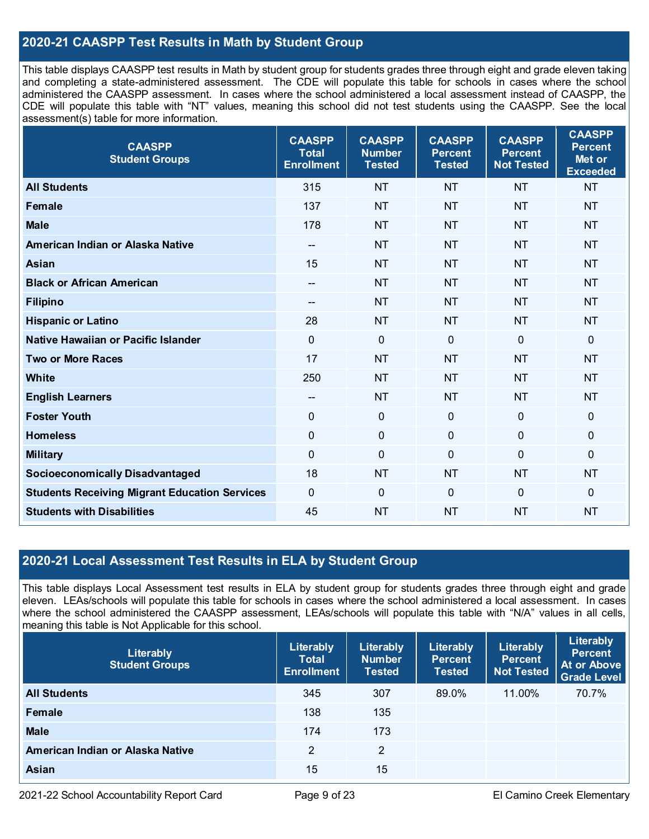### **2020-21 CAASPP Test Results in Math by Student Group**

This table displays CAASPP test results in Math by student group for students grades three through eight and grade eleven taking and completing a state-administered assessment. The CDE will populate this table for schools in cases where the school administered the CAASPP assessment. In cases where the school administered a local assessment instead of CAASPP, the CDE will populate this table with "NT" values, meaning this school did not test students using the CAASPP. See the local assessment(s) table for more information.

| <b>CAASPP</b><br><b>Student Groups</b>               | <b>CAASPP</b><br><b>Total</b><br><b>Enrollment</b> | <b>CAASPP</b><br><b>Number</b><br><b>Tested</b> | <b>CAASPP</b><br><b>Percent</b><br><b>Tested</b> | <b>CAASPP</b><br><b>Percent</b><br><b>Not Tested</b> | <b>CAASPP</b><br><b>Percent</b><br>Met or<br><b>Exceeded</b> |
|------------------------------------------------------|----------------------------------------------------|-------------------------------------------------|--------------------------------------------------|------------------------------------------------------|--------------------------------------------------------------|
| <b>All Students</b>                                  | 315                                                | <b>NT</b>                                       | <b>NT</b>                                        | <b>NT</b>                                            | <b>NT</b>                                                    |
| <b>Female</b>                                        | 137                                                | <b>NT</b>                                       | <b>NT</b>                                        | <b>NT</b>                                            | <b>NT</b>                                                    |
| <b>Male</b>                                          | 178                                                | <b>NT</b>                                       | <b>NT</b>                                        | <b>NT</b>                                            | <b>NT</b>                                                    |
| American Indian or Alaska Native                     | $\overline{\phantom{a}}$                           | <b>NT</b>                                       | <b>NT</b>                                        | <b>NT</b>                                            | <b>NT</b>                                                    |
| <b>Asian</b>                                         | 15                                                 | <b>NT</b>                                       | <b>NT</b>                                        | <b>NT</b>                                            | <b>NT</b>                                                    |
| <b>Black or African American</b>                     | $\overline{\phantom{a}}$                           | <b>NT</b>                                       | <b>NT</b>                                        | <b>NT</b>                                            | <b>NT</b>                                                    |
| <b>Filipino</b>                                      | --                                                 | <b>NT</b>                                       | <b>NT</b>                                        | <b>NT</b>                                            | <b>NT</b>                                                    |
| <b>Hispanic or Latino</b>                            | 28                                                 | <b>NT</b>                                       | <b>NT</b>                                        | <b>NT</b>                                            | <b>NT</b>                                                    |
| Native Hawaiian or Pacific Islander                  | $\mathbf 0$                                        | $\mathbf 0$                                     | $\mathbf 0$                                      | $\overline{0}$                                       | $\pmb{0}$                                                    |
| <b>Two or More Races</b>                             | 17                                                 | <b>NT</b>                                       | <b>NT</b>                                        | <b>NT</b>                                            | <b>NT</b>                                                    |
| <b>White</b>                                         | 250                                                | <b>NT</b>                                       | <b>NT</b>                                        | <b>NT</b>                                            | <b>NT</b>                                                    |
| <b>English Learners</b>                              | --                                                 | <b>NT</b>                                       | <b>NT</b>                                        | <b>NT</b>                                            | <b>NT</b>                                                    |
| <b>Foster Youth</b>                                  | $\mathbf 0$                                        | $\mathbf 0$                                     | $\mathbf 0$                                      | $\mathbf{0}$                                         | $\mathbf 0$                                                  |
| <b>Homeless</b>                                      | $\mathbf 0$                                        | $\mathbf 0$                                     | $\mathbf 0$                                      | 0                                                    | $\mathbf 0$                                                  |
| <b>Military</b>                                      | $\mathbf 0$                                        | $\pmb{0}$                                       | $\mathbf 0$                                      | 0                                                    | $\mathbf 0$                                                  |
| <b>Socioeconomically Disadvantaged</b>               | 18                                                 | <b>NT</b>                                       | <b>NT</b>                                        | <b>NT</b>                                            | <b>NT</b>                                                    |
| <b>Students Receiving Migrant Education Services</b> | $\mathbf 0$                                        | $\mathbf 0$                                     | $\mathbf 0$                                      | 0                                                    | $\mathbf 0$                                                  |
| <b>Students with Disabilities</b>                    | 45                                                 | <b>NT</b>                                       | <b>NT</b>                                        | <b>NT</b>                                            | <b>NT</b>                                                    |

#### **2020-21 Local Assessment Test Results in ELA by Student Group**

This table displays Local Assessment test results in ELA by student group for students grades three through eight and grade eleven. LEAs/schools will populate this table for schools in cases where the school administered a local assessment. In cases where the school administered the CAASPP assessment, LEAs/schools will populate this table with "N/A" values in all cells, meaning this table is Not Applicable for this school.

| Literably<br><b>Student Groups</b> | Literably<br><b>Total</b><br><b>Enrollment</b> | Literably<br><b>Number</b><br><b>Tested</b> | Literably<br><b>Percent</b><br><b>Tested</b> | Literably<br><b>Percent</b><br><b>Not Tested</b> | Literably<br><b>Percent</b><br><b>At or Above</b><br><b>Grade Level</b> |
|------------------------------------|------------------------------------------------|---------------------------------------------|----------------------------------------------|--------------------------------------------------|-------------------------------------------------------------------------|
| <b>All Students</b>                | 345                                            | 307                                         | 89.0%                                        | 11.00%                                           | 70.7%                                                                   |
| Female                             | 138                                            | 135                                         |                                              |                                                  |                                                                         |
| <b>Male</b>                        | 174                                            | 173                                         |                                              |                                                  |                                                                         |
| American Indian or Alaska Native   | 2                                              | 2                                           |                                              |                                                  |                                                                         |
| <b>Asian</b>                       | 15                                             | 15                                          |                                              |                                                  |                                                                         |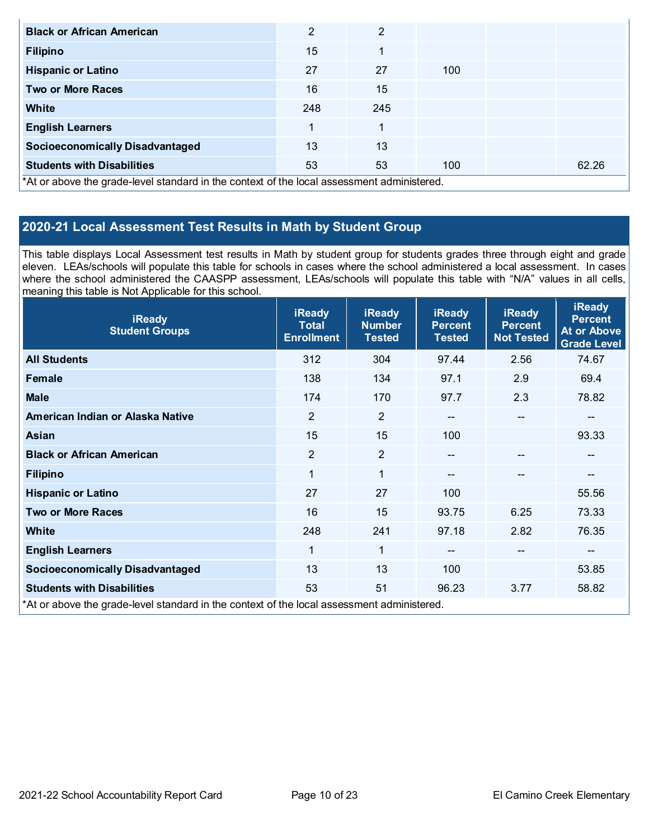| <b>Black or African American</b>                                                           | $\overline{2}$ | 2   |     |       |
|--------------------------------------------------------------------------------------------|----------------|-----|-----|-------|
| <b>Filipino</b>                                                                            | 15             | 1   |     |       |
| <b>Hispanic or Latino</b>                                                                  | 27             | 27  | 100 |       |
| <b>Two or More Races</b>                                                                   | 16             | 15  |     |       |
| <b>White</b>                                                                               | 248            | 245 |     |       |
| <b>English Learners</b>                                                                    |                | 1   |     |       |
| <b>Socioeconomically Disadvantaged</b>                                                     | 13             | 13  |     |       |
| <b>Students with Disabilities</b>                                                          | 53             | 53  | 100 | 62.26 |
| *At or above the grade-level standard in the context of the local assessment administered. |                |     |     |       |

### **2020-21 Local Assessment Test Results in Math by Student Group**

This table displays Local Assessment test results in Math by student group for students grades three through eight and grade eleven. LEAs/schools will populate this table for schools in cases where the school administered a local assessment. In cases where the school administered the CAASPP assessment, LEAs/schools will populate this table with "N/A" values in all cells, meaning this table is Not Applicable for this school.

| <b>iReady</b><br><b>Student Groups</b>                                                     | <b>iReady</b><br><b>Total</b><br><b>Enrollment</b> | <b>iReady</b><br><b>Number</b><br><b>Tested</b> | <b>iReady</b><br><b>Percent</b><br><b>Tested</b> | <b>iReady</b><br><b>Percent</b><br><b>Not Tested</b> | <b>iReady</b><br><b>Percent</b><br><b>At or Above</b><br><b>Grade Level</b> |
|--------------------------------------------------------------------------------------------|----------------------------------------------------|-------------------------------------------------|--------------------------------------------------|------------------------------------------------------|-----------------------------------------------------------------------------|
| <b>All Students</b>                                                                        | 312                                                | 304                                             | 97.44                                            | 2.56                                                 | 74.67                                                                       |
| Female                                                                                     | 138                                                | 134                                             | 97.1                                             | 2.9                                                  | 69.4                                                                        |
| <b>Male</b>                                                                                | 174                                                | 170                                             | 97.7                                             | 2.3                                                  | 78.82                                                                       |
| American Indian or Alaska Native                                                           | $\overline{2}$                                     | $\overline{2}$                                  | $- -$                                            | $\qquad \qquad \cdots$                               | $\overline{\phantom{m}}$                                                    |
| Asian                                                                                      | 15                                                 | 15                                              | 100                                              |                                                      | 93.33                                                                       |
| <b>Black or African American</b>                                                           | 2                                                  | $\overline{2}$                                  | $-$                                              | --                                                   | --                                                                          |
| <b>Filipino</b>                                                                            | $\mathbf{1}$                                       | $\mathbf{1}$                                    | $\qquad \qquad -$                                |                                                      | --                                                                          |
| <b>Hispanic or Latino</b>                                                                  | 27                                                 | 27                                              | 100                                              |                                                      | 55.56                                                                       |
| <b>Two or More Races</b>                                                                   | 16                                                 | 15                                              | 93.75                                            | 6.25                                                 | 73.33                                                                       |
| <b>White</b>                                                                               | 248                                                | 241                                             | 97.18                                            | 2.82                                                 | 76.35                                                                       |
| <b>English Learners</b>                                                                    | 1                                                  | $\mathbf{1}$                                    | $- -$                                            |                                                      | $\qquad \qquad \qquad -$                                                    |
| <b>Socioeconomically Disadvantaged</b>                                                     | 13                                                 | 13                                              | 100                                              |                                                      | 53.85                                                                       |
| <b>Students with Disabilities</b>                                                          | 53                                                 | 51                                              | 96.23                                            | 3.77                                                 | 58.82                                                                       |
| *At or above the grade-level standard in the context of the local assessment administered. |                                                    |                                                 |                                                  |                                                      |                                                                             |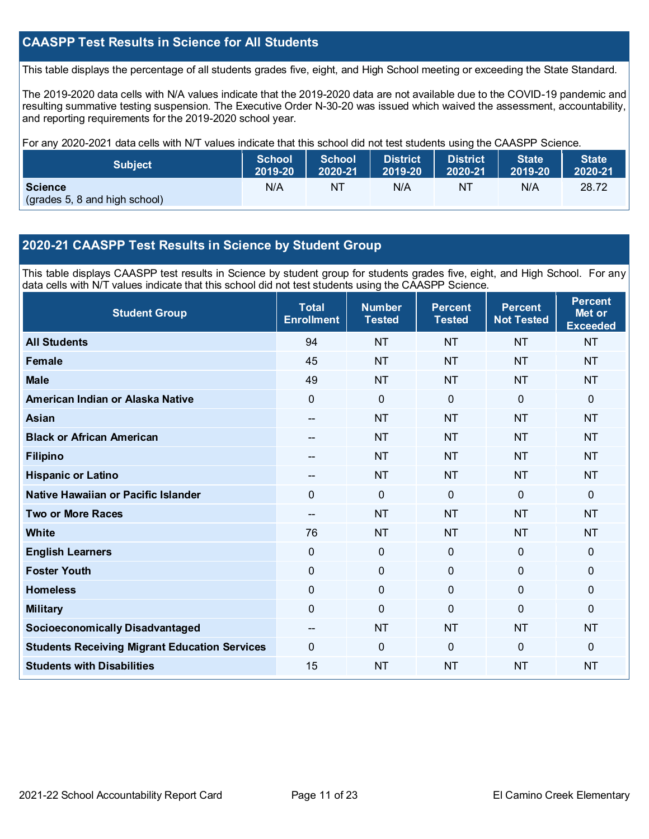### **CAASPP Test Results in Science for All Students**

This table displays the percentage of all students grades five, eight, and High School meeting or exceeding the State Standard.

The 2019-2020 data cells with N/A values indicate that the 2019-2020 data are not available due to the COVID-19 pandemic and resulting summative testing suspension. The Executive Order N-30-20 was issued which waived the assessment, accountability, and reporting requirements for the 2019-2020 school year.

For any 2020-2021 data cells with N/T values indicate that this school did not test students using the CAASPP Science.

| Subject                                         | <b>School</b> | <b>School</b> | <b>District</b> | <b>District</b> | <b>State</b> | <b>State</b> |
|-------------------------------------------------|---------------|---------------|-----------------|-----------------|--------------|--------------|
|                                                 | 2019-20       | 2020-21       | 12019-20        | 2020-21         | 2019-20      | 2020-21      |
| <b>Science</b><br>(grades 5, 8 and high school) | N/A           | NT            | N/A             | NT              | N/A          | 28.72        |

#### **2020-21 CAASPP Test Results in Science by Student Group**

This table displays CAASPP test results in Science by student group for students grades five, eight, and High School. For any data cells with N/T values indicate that this school did not test students using the CAASPP Science.

| <b>Student Group</b>                                 | <b>Total</b><br><b>Enrollment</b> | <b>Number</b><br><b>Tested</b> | <b>Percent</b><br><b>Tested</b> | <b>Percent</b><br><b>Not Tested</b> | <b>Percent</b><br>Met or<br><b>Exceeded</b> |
|------------------------------------------------------|-----------------------------------|--------------------------------|---------------------------------|-------------------------------------|---------------------------------------------|
| <b>All Students</b>                                  | 94                                | <b>NT</b>                      | <b>NT</b>                       | <b>NT</b>                           | <b>NT</b>                                   |
| <b>Female</b>                                        | 45                                | <b>NT</b>                      | <b>NT</b>                       | <b>NT</b>                           | <b>NT</b>                                   |
| <b>Male</b>                                          | 49                                | <b>NT</b>                      | <b>NT</b>                       | <b>NT</b>                           | <b>NT</b>                                   |
| American Indian or Alaska Native                     | 0                                 | $\mathbf 0$                    | $\mathbf 0$                     | $\overline{0}$                      | 0                                           |
| <b>Asian</b>                                         | $-$                               | <b>NT</b>                      | <b>NT</b>                       | <b>NT</b>                           | <b>NT</b>                                   |
| <b>Black or African American</b>                     | --                                | <b>NT</b>                      | <b>NT</b>                       | <b>NT</b>                           | <b>NT</b>                                   |
| <b>Filipino</b>                                      | $-$                               | <b>NT</b>                      | <b>NT</b>                       | <b>NT</b>                           | <b>NT</b>                                   |
| <b>Hispanic or Latino</b>                            | --                                | <b>NT</b>                      | <b>NT</b>                       | <b>NT</b>                           | <b>NT</b>                                   |
| Native Hawaiian or Pacific Islander                  | $\overline{0}$                    | $\mathbf 0$                    | $\mathbf{0}$                    | $\overline{0}$                      | 0                                           |
| <b>Two or More Races</b>                             | --                                | <b>NT</b>                      | <b>NT</b>                       | <b>NT</b>                           | <b>NT</b>                                   |
| <b>White</b>                                         | 76                                | <b>NT</b>                      | <b>NT</b>                       | <b>NT</b>                           | <b>NT</b>                                   |
| <b>English Learners</b>                              | $\overline{0}$                    | $\mathbf 0$                    | $\mathbf 0$                     | $\overline{0}$                      | 0                                           |
| <b>Foster Youth</b>                                  | 0                                 | $\mathbf 0$                    | $\mathbf 0$                     | 0                                   | 0                                           |
| <b>Homeless</b>                                      | 0                                 | $\pmb{0}$                      | $\mathbf 0$                     | 0                                   | 0                                           |
| <b>Military</b>                                      | 0                                 | $\mathbf 0$                    | $\Omega$                        | 0                                   | 0                                           |
| <b>Socioeconomically Disadvantaged</b>               | --                                | <b>NT</b>                      | <b>NT</b>                       | <b>NT</b>                           | <b>NT</b>                                   |
| <b>Students Receiving Migrant Education Services</b> | 0                                 | $\mathbf 0$                    | $\Omega$                        | $\Omega$                            | $\Omega$                                    |
| <b>Students with Disabilities</b>                    | 15                                | <b>NT</b>                      | <b>NT</b>                       | <b>NT</b>                           | <b>NT</b>                                   |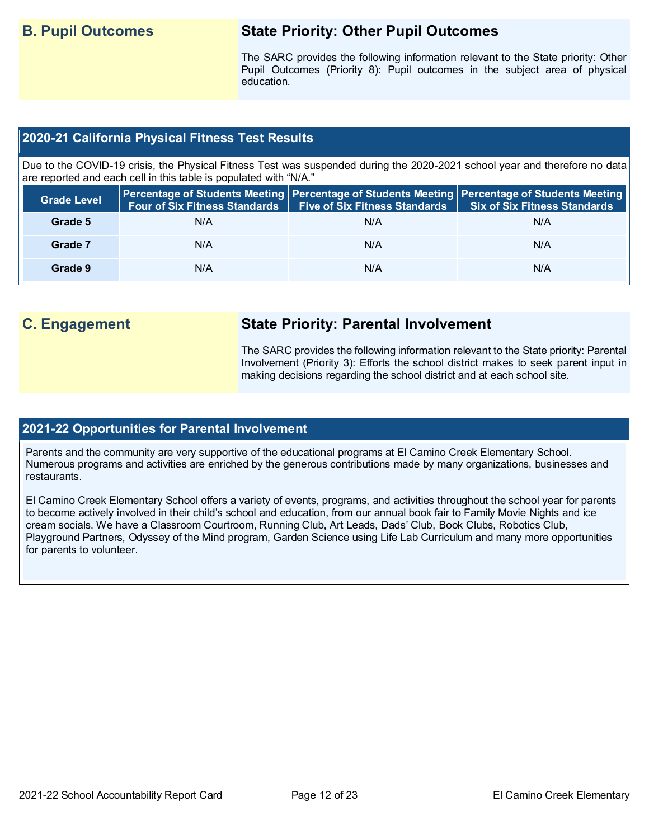# **B. Pupil Outcomes State Priority: Other Pupil Outcomes**

The SARC provides the following information relevant to the State priority: Other Pupil Outcomes (Priority 8): Pupil outcomes in the subject area of physical education.

#### **2020-21 California Physical Fitness Test Results**

Due to the COVID-19 crisis, the Physical Fitness Test was suspended during the 2020-2021 school year and therefore no data are reported and each cell in this table is populated with "N/A."

| <b>Grade Level</b> | <b>Four of Six Fitness Standards</b> | Five of Six Fitness Standards   Six of Six Fitness Standards | Percentage of Students Meeting Percentage of Students Meeting Percentage of Students Meeting |
|--------------------|--------------------------------------|--------------------------------------------------------------|----------------------------------------------------------------------------------------------|
| Grade 5            | N/A                                  | N/A                                                          | N/A                                                                                          |
| Grade 7            | N/A                                  | N/A                                                          | N/A                                                                                          |
| Grade 9            | N/A                                  | N/A                                                          | N/A                                                                                          |

# **C. Engagement State Priority: Parental Involvement**

The SARC provides the following information relevant to the State priority: Parental Involvement (Priority 3): Efforts the school district makes to seek parent input in making decisions regarding the school district and at each school site.

#### **2021-22 Opportunities for Parental Involvement**

Parents and the community are very supportive of the educational programs at El Camino Creek Elementary School. Numerous programs and activities are enriched by the generous contributions made by many organizations, businesses and restaurants.

El Camino Creek Elementary School offers a variety of events, programs, and activities throughout the school year for parents to become actively involved in their child's school and education, from our annual book fair to Family Movie Nights and ice cream socials. We have a Classroom Courtroom, Running Club, Art Leads, Dads' Club, Book Clubs, Robotics Club, Playground Partners, Odyssey of the Mind program, Garden Science using Life Lab Curriculum and many more opportunities for parents to volunteer.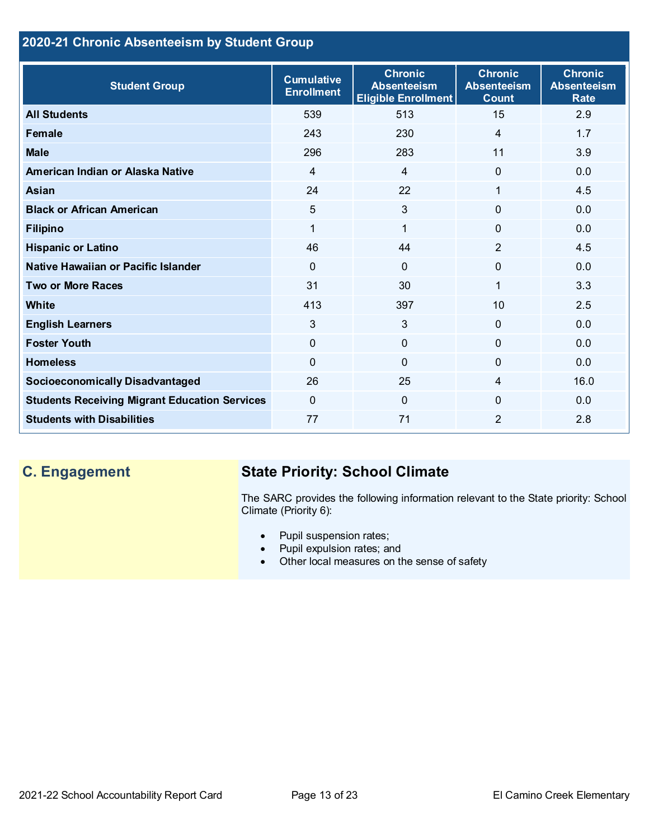## **2020-21 Chronic Absenteeism by Student Group**

| <b>Student Group</b>                                 | <b>Cumulative</b><br><b>Enrollment</b> | <b>Chronic</b><br><b>Absenteeism</b><br><b>Eligible Enrollment</b> | <b>Chronic</b><br><b>Absenteeism</b><br><b>Count</b> | <b>Chronic</b><br><b>Absenteeism</b><br><b>Rate</b> |
|------------------------------------------------------|----------------------------------------|--------------------------------------------------------------------|------------------------------------------------------|-----------------------------------------------------|
| <b>All Students</b>                                  | 539                                    | 513                                                                | 15                                                   | 2.9                                                 |
| <b>Female</b>                                        | 243                                    | 230                                                                | 4                                                    | 1.7                                                 |
| <b>Male</b>                                          | 296                                    | 283                                                                | 11                                                   | 3.9                                                 |
| American Indian or Alaska Native                     | 4                                      | $\overline{4}$                                                     | $\Omega$                                             | 0.0                                                 |
| <b>Asian</b>                                         | 24                                     | 22                                                                 | 1                                                    | 4.5                                                 |
| <b>Black or African American</b>                     | 5                                      | $\mathfrak{S}$                                                     | 0                                                    | 0.0                                                 |
| <b>Filipino</b>                                      | 1                                      | $\mathbf{1}$                                                       | $\Omega$                                             | 0.0                                                 |
| <b>Hispanic or Latino</b>                            | 46                                     | 44                                                                 | $\overline{2}$                                       | 4.5                                                 |
| Native Hawaiian or Pacific Islander                  | $\mathbf{0}$                           | $\mathbf{0}$                                                       | $\Omega$                                             | 0.0                                                 |
| <b>Two or More Races</b>                             | 31                                     | 30                                                                 | 1                                                    | 3.3                                                 |
| <b>White</b>                                         | 413                                    | 397                                                                | 10                                                   | 2.5                                                 |
| <b>English Learners</b>                              | 3                                      | 3                                                                  | $\Omega$                                             | 0.0                                                 |
| <b>Foster Youth</b>                                  | $\mathbf{0}$                           | $\overline{0}$                                                     | $\Omega$                                             | 0.0                                                 |
| <b>Homeless</b>                                      | $\mathbf{0}$                           | $\overline{0}$                                                     | 0                                                    | 0.0                                                 |
| <b>Socioeconomically Disadvantaged</b>               | 26                                     | 25                                                                 | 4                                                    | 16.0                                                |
| <b>Students Receiving Migrant Education Services</b> | $\mathbf{0}$                           | $\mathbf 0$                                                        | 0                                                    | 0.0                                                 |
| <b>Students with Disabilities</b>                    | 77                                     | 71                                                                 | $\overline{2}$                                       | 2.8                                                 |

# **C. Engagement State Priority: School Climate**

The SARC provides the following information relevant to the State priority: School Climate (Priority 6):

- Pupil suspension rates;
- Pupil expulsion rates; and
- Other local measures on the sense of safety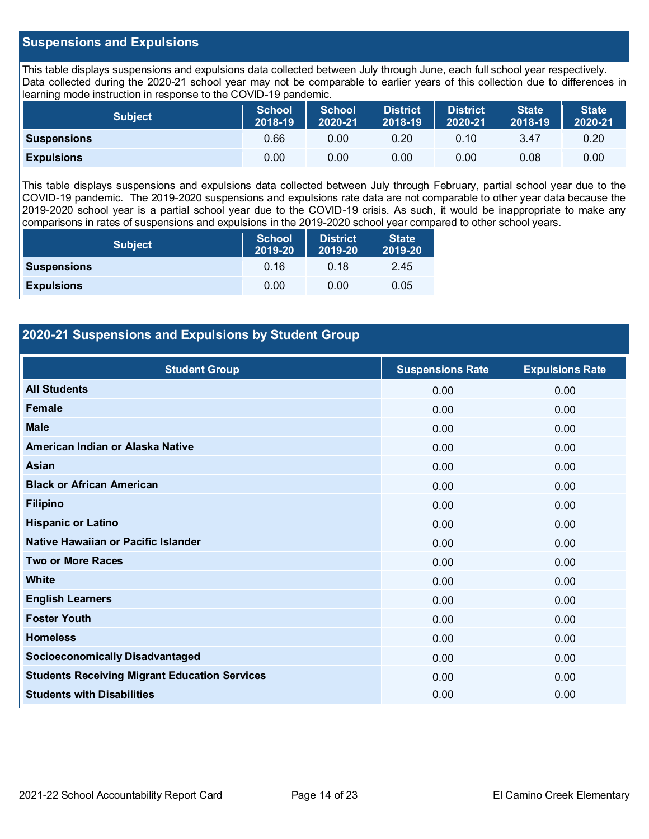#### **Suspensions and Expulsions**

This table displays suspensions and expulsions data collected between July through June, each full school year respectively. Data collected during the 2020-21 school year may not be comparable to earlier years of this collection due to differences in learning mode instruction in response to the COVID-19 pandemic.

| <b>Subject</b>     | <b>School</b><br>2018-19 | <b>School</b><br>2020-21 | <b>District</b><br>2018-19 | District<br>2020-21 | <b>State</b><br>2018-19 | <b>State</b><br>2020-21 |
|--------------------|--------------------------|--------------------------|----------------------------|---------------------|-------------------------|-------------------------|
| <b>Suspensions</b> | 0.66                     | 0.00                     | 0.20                       | 0.10                | 3.47                    | 0.20                    |
| <b>Expulsions</b>  | 0.00                     | 0.00                     | 0.00                       | 0.00                | 0.08                    | 0.00                    |

This table displays suspensions and expulsions data collected between July through February, partial school year due to the COVID-19 pandemic. The 2019-2020 suspensions and expulsions rate data are not comparable to other year data because the 2019-2020 school year is a partial school year due to the COVID-19 crisis. As such, it would be inappropriate to make any comparisons in rates of suspensions and expulsions in the 2019-2020 school year compared to other school years.

| <b>Subject</b>     | <b>School</b><br>2019-20 | <b>District</b><br>2019-20 | <b>State</b><br>2019-20 |
|--------------------|--------------------------|----------------------------|-------------------------|
| <b>Suspensions</b> | 0.16                     | 0.18                       | 2.45                    |
| <b>Expulsions</b>  | 0.00                     | 0.00                       | 0.05                    |

#### **2020-21 Suspensions and Expulsions by Student Group**

| <b>Student Group</b>                                 | <b>Suspensions Rate</b> | <b>Expulsions Rate</b> |
|------------------------------------------------------|-------------------------|------------------------|
| <b>All Students</b>                                  | 0.00                    | 0.00                   |
| Female                                               | 0.00                    | 0.00                   |
| <b>Male</b>                                          | 0.00                    | 0.00                   |
| American Indian or Alaska Native                     | 0.00                    | 0.00                   |
| Asian                                                | 0.00                    | 0.00                   |
| <b>Black or African American</b>                     | 0.00                    | 0.00                   |
| <b>Filipino</b>                                      | 0.00                    | 0.00                   |
| <b>Hispanic or Latino</b>                            | 0.00                    | 0.00                   |
| Native Hawaiian or Pacific Islander                  | 0.00                    | 0.00                   |
| <b>Two or More Races</b>                             | 0.00                    | 0.00                   |
| White                                                | 0.00                    | 0.00                   |
| <b>English Learners</b>                              | 0.00                    | 0.00                   |
| <b>Foster Youth</b>                                  | 0.00                    | 0.00                   |
| <b>Homeless</b>                                      | 0.00                    | 0.00                   |
| <b>Socioeconomically Disadvantaged</b>               | 0.00                    | 0.00                   |
| <b>Students Receiving Migrant Education Services</b> | 0.00                    | 0.00                   |
| <b>Students with Disabilities</b>                    | 0.00                    | 0.00                   |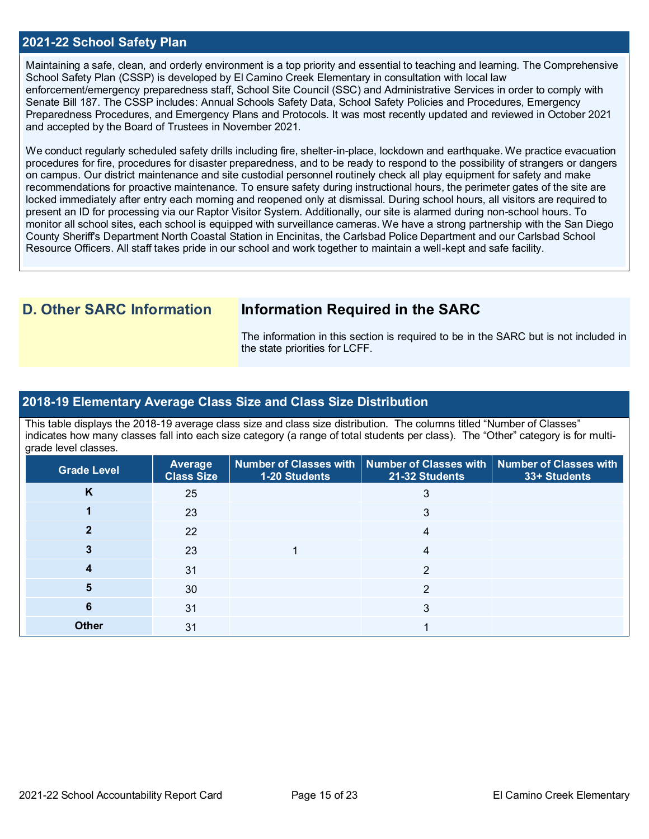#### **2021-22 School Safety Plan**

Maintaining a safe, clean, and orderly environment is a top priority and essential to teaching and learning. The Comprehensive School Safety Plan (CSSP) is developed by El Camino Creek Elementary in consultation with local law enforcement/emergency preparedness staff, School Site Council (SSC) and Administrative Services in order to comply with Senate Bill 187. The CSSP includes: Annual Schools Safety Data, School Safety Policies and Procedures, Emergency Preparedness Procedures, and Emergency Plans and Protocols. It was most recently updated and reviewed in October 2021 and accepted by the Board of Trustees in November 2021.

We conduct regularly scheduled safety drills including fire, shelter-in-place, lockdown and earthquake. We practice evacuation procedures for fire, procedures for disaster preparedness, and to be ready to respond to the possibility of strangers or dangers on campus. Our district maintenance and site custodial personnel routinely check all play equipment for safety and make recommendations for proactive maintenance. To ensure safety during instructional hours, the perimeter gates of the site are locked immediately after entry each morning and reopened only at dismissal. During school hours, all visitors are required to present an ID for processing via our Raptor Visitor System. Additionally, our site is alarmed during non-school hours. To monitor all school sites, each school is equipped with surveillance cameras. We have a strong partnership with the San Diego County Sheriff's Department North Coastal Station in Encinitas, the Carlsbad Police Department and our Carlsbad School Resource Officers. All staff takes pride in our school and work together to maintain a well-kept and safe facility.

## **D. Other SARC Information Information Required in the SARC**

The information in this section is required to be in the SARC but is not included in the state priorities for LCFF.

#### **2018-19 Elementary Average Class Size and Class Size Distribution**

This table displays the 2018-19 average class size and class size distribution. The columns titled "Number of Classes" indicates how many classes fall into each size category (a range of total students per class). The "Other" category is for multigrade level classes.

| <b>Grade Level</b> | Average<br><b>Class Size</b> | 1-20 Students | Number of Classes with   Number of Classes with   Number of Classes with<br>21-32 Students | 33+ Students |
|--------------------|------------------------------|---------------|--------------------------------------------------------------------------------------------|--------------|
| K                  | 25                           |               |                                                                                            |              |
|                    | 23                           |               | 3                                                                                          |              |
|                    | 22                           |               | 4                                                                                          |              |
|                    | 23                           |               | 4                                                                                          |              |
|                    | 31                           |               | $\mathcal{P}$                                                                              |              |
| 5                  | 30                           |               | $\mathcal{P}$                                                                              |              |
| 6                  | 31                           |               | 3                                                                                          |              |
| <b>Other</b>       | 31                           |               |                                                                                            |              |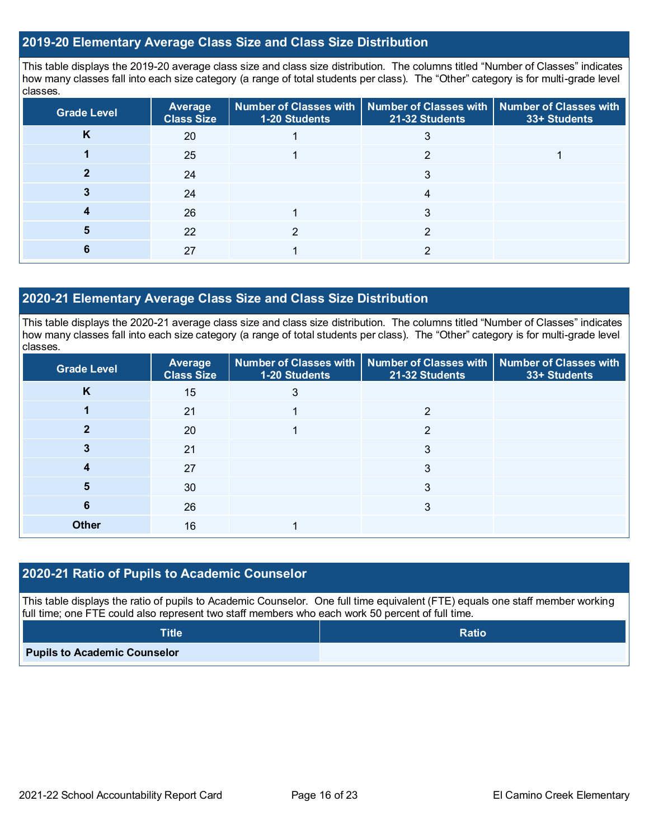#### **2019-20 Elementary Average Class Size and Class Size Distribution**

This table displays the 2019-20 average class size and class size distribution. The columns titled "Number of Classes" indicates how many classes fall into each size category (a range of total students per class). The "Other" category is for multi-grade level classes.

| <b>Grade Level</b> | Average<br><b>Class Size</b> | 1-20 Students | Number of Classes with   Number of Classes with   Number of Classes with<br>21-32 Students | 33+ Students |
|--------------------|------------------------------|---------------|--------------------------------------------------------------------------------------------|--------------|
| r                  | 20                           |               |                                                                                            |              |
|                    | 25                           |               | ⌒                                                                                          |              |
|                    | 24                           |               |                                                                                            |              |
|                    | 24                           |               |                                                                                            |              |
|                    | 26                           |               | 3                                                                                          |              |
|                    | 22                           |               |                                                                                            |              |
|                    | 27                           |               |                                                                                            |              |

#### **2020-21 Elementary Average Class Size and Class Size Distribution**

This table displays the 2020-21 average class size and class size distribution. The columns titled "Number of Classes" indicates how many classes fall into each size category (a range of total students per class). The "Other" category is for multi-grade level classes.

| <b>Grade Level</b> | Average<br><b>Class Size</b> | 1-20 Students | Number of Classes with   Number of Classes with   Number of Classes with<br>21-32 Students | 33+ Students |
|--------------------|------------------------------|---------------|--------------------------------------------------------------------------------------------|--------------|
| K                  | 15                           | 3             |                                                                                            |              |
|                    | 21                           |               | າ                                                                                          |              |
|                    | 20                           |               | 2                                                                                          |              |
|                    | 21                           |               | 3                                                                                          |              |
|                    | 27                           |               |                                                                                            |              |
| 5                  | 30                           |               | 3                                                                                          |              |
| Ю                  | 26                           |               | 3                                                                                          |              |
| <b>Other</b>       | 16                           |               |                                                                                            |              |

#### **2020-21 Ratio of Pupils to Academic Counselor**

This table displays the ratio of pupils to Academic Counselor. One full time equivalent (FTE) equals one staff member working full time; one FTE could also represent two staff members who each work 50 percent of full time.

| $\textsf{Title}^{\intercal}$        | <b>Ratio</b> |
|-------------------------------------|--------------|
| <b>Pupils to Academic Counselor</b> |              |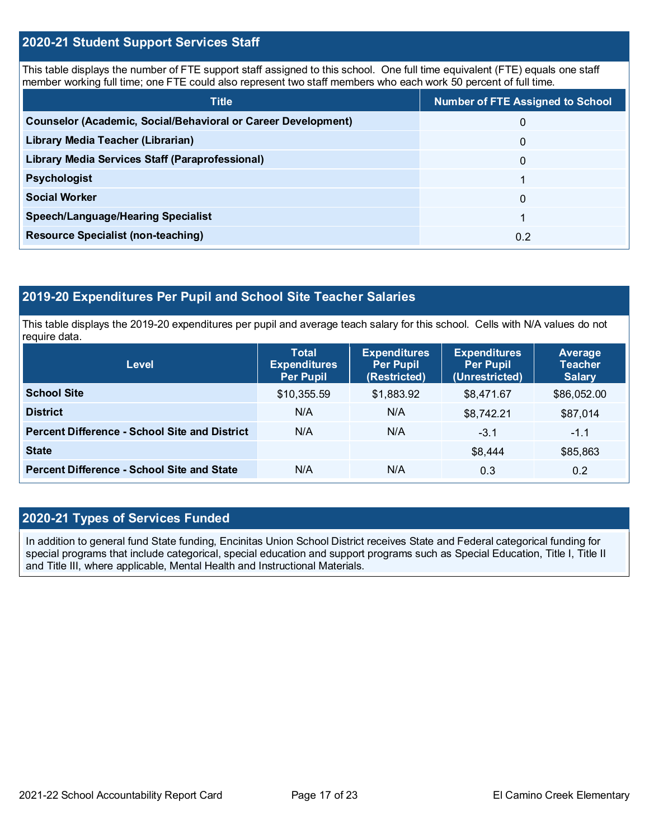#### **2020-21 Student Support Services Staff**

This table displays the number of FTE support staff assigned to this school. One full time equivalent (FTE) equals one staff member working full time; one FTE could also represent two staff members who each work 50 percent of full time.

| <b>Title</b>                                                         | <b>Number of FTE Assigned to School</b> |
|----------------------------------------------------------------------|-----------------------------------------|
| <b>Counselor (Academic, Social/Behavioral or Career Development)</b> | 0                                       |
| Library Media Teacher (Librarian)                                    | 0                                       |
| <b>Library Media Services Staff (Paraprofessional)</b>               | 0                                       |
| <b>Psychologist</b>                                                  |                                         |
| <b>Social Worker</b>                                                 | 0                                       |
| <b>Speech/Language/Hearing Specialist</b>                            |                                         |
| <b>Resource Specialist (non-teaching)</b>                            | 0.2                                     |

#### **2019-20 Expenditures Per Pupil and School Site Teacher Salaries**

This table displays the 2019-20 expenditures per pupil and average teach salary for this school. Cells with N/A values do not require data.

| <b>Level</b>                                         | <b>Total</b><br><b>Expenditures</b><br><b>Per Pupil</b> | <b>Expenditures</b><br><b>Per Pupil</b><br>(Restricted) | <b>Expenditures</b><br><b>Per Pupil</b><br>(Unrestricted) | Average<br><b>Teacher</b><br><b>Salary</b> |
|------------------------------------------------------|---------------------------------------------------------|---------------------------------------------------------|-----------------------------------------------------------|--------------------------------------------|
| <b>School Site</b>                                   | \$10,355.59                                             | \$1,883.92                                              | \$8,471.67                                                | \$86,052.00                                |
| <b>District</b>                                      | N/A                                                     | N/A                                                     | \$8,742.21                                                | \$87,014                                   |
| <b>Percent Difference - School Site and District</b> | N/A                                                     | N/A                                                     | $-3.1$                                                    | $-1.1$                                     |
| <b>State</b>                                         |                                                         |                                                         | \$8,444                                                   | \$85,863                                   |
| <b>Percent Difference - School Site and State</b>    | N/A                                                     | N/A                                                     | 0.3                                                       | 0.2                                        |

# **2020-21 Types of Services Funded**

In addition to general fund State funding, Encinitas Union School District receives State and Federal categorical funding for special programs that include categorical, special education and support programs such as Special Education, Title I, Title II and Title III, where applicable, Mental Health and Instructional Materials.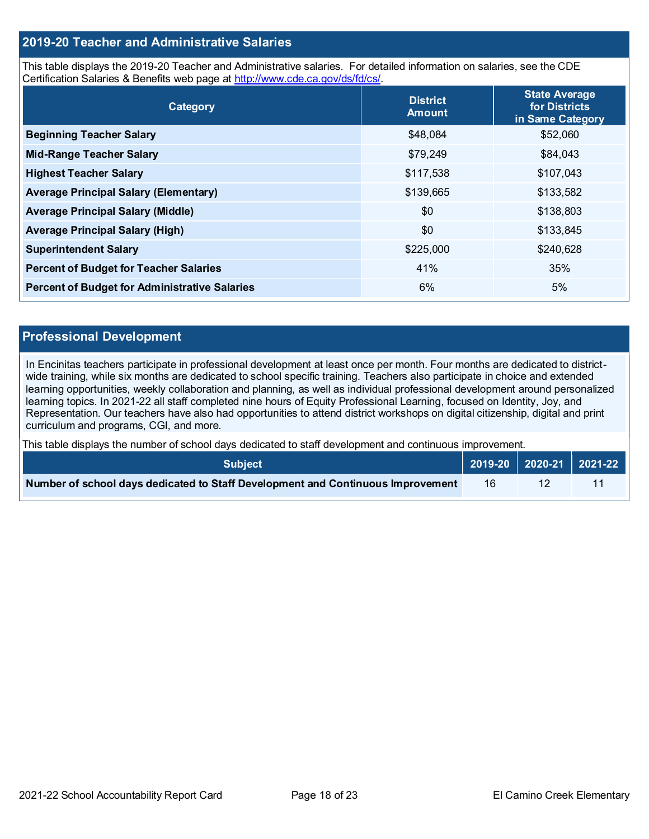#### **2019-20 Teacher and Administrative Salaries**

This table displays the 2019-20 Teacher and Administrative salaries. For detailed information on salaries, see the CDE Certification Salaries & Benefits web page at [http://www.cde.ca.gov/ds/fd/cs/.](http://www.cde.ca.gov/ds/fd/cs/)

| Category                                             | <b>District</b><br><b>Amount</b> | <b>State Average</b><br>for Districts<br>in Same Category |
|------------------------------------------------------|----------------------------------|-----------------------------------------------------------|
| <b>Beginning Teacher Salary</b>                      | \$48,084                         | \$52,060                                                  |
| <b>Mid-Range Teacher Salary</b>                      | \$79,249                         | \$84,043                                                  |
| <b>Highest Teacher Salary</b>                        | \$117,538                        | \$107,043                                                 |
| <b>Average Principal Salary (Elementary)</b>         | \$139,665                        | \$133,582                                                 |
| <b>Average Principal Salary (Middle)</b>             | \$0                              | \$138,803                                                 |
| <b>Average Principal Salary (High)</b>               | \$0                              | \$133,845                                                 |
| <b>Superintendent Salary</b>                         | \$225,000                        | \$240,628                                                 |
| <b>Percent of Budget for Teacher Salaries</b>        | 41%                              | 35%                                                       |
| <b>Percent of Budget for Administrative Salaries</b> | 6%                               | 5%                                                        |

#### **Professional Development**

In Encinitas teachers participate in professional development at least once per month. Four months are dedicated to districtwide training, while six months are dedicated to school specific training. Teachers also participate in choice and extended learning opportunities, weekly collaboration and planning, as well as individual professional development around personalized learning topics. In 2021-22 all staff completed nine hours of Equity Professional Learning, focused on Identity, Joy, and Representation. Our teachers have also had opportunities to attend district workshops on digital citizenship, digital and print curriculum and programs, CGI, and more.

This table displays the number of school days dedicated to staff development and continuous improvement.

| <b>Subiect</b> \                                                                |    |  |
|---------------------------------------------------------------------------------|----|--|
| Number of school days dedicated to Staff Development and Continuous Improvement | 16 |  |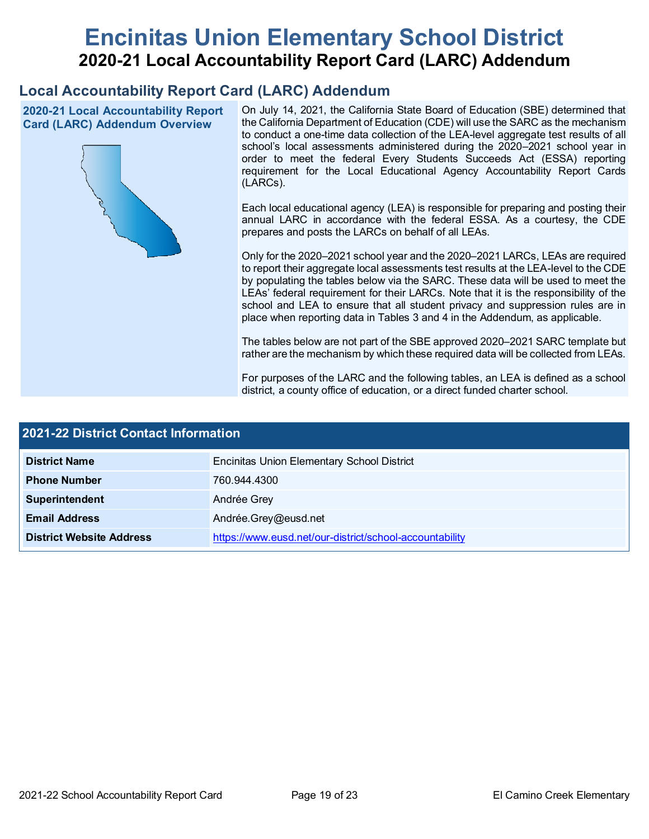# **Encinitas Union Elementary School District 2020-21 Local Accountability Report Card (LARC) Addendum**

# **Local Accountability Report Card (LARC) Addendum**

**2020-21 Local Accountability Report Card (LARC) Addendum Overview**



On July 14, 2021, the California State Board of Education (SBE) determined that the California Department of Education (CDE) will use the SARC as the mechanism to conduct a one-time data collection of the LEA-level aggregate test results of all school's local assessments administered during the 2020–2021 school year in order to meet the federal Every Students Succeeds Act (ESSA) reporting requirement for the Local Educational Agency Accountability Report Cards (LARCs).

Each local educational agency (LEA) is responsible for preparing and posting their annual LARC in accordance with the federal ESSA. As a courtesy, the CDE prepares and posts the LARCs on behalf of all LEAs.

Only for the 2020–2021 school year and the 2020–2021 LARCs, LEAs are required to report their aggregate local assessments test results at the LEA-level to the CDE by populating the tables below via the SARC. These data will be used to meet the LEAs' federal requirement for their LARCs. Note that it is the responsibility of the school and LEA to ensure that all student privacy and suppression rules are in place when reporting data in Tables 3 and 4 in the Addendum, as applicable.

The tables below are not part of the SBE approved 2020–2021 SARC template but rather are the mechanism by which these required data will be collected from LEAs.

For purposes of the LARC and the following tables, an LEA is defined as a school district, a county office of education, or a direct funded charter school.

| <b>2021-22 District Contact Information</b> |                                                         |  |  |  |  |
|---------------------------------------------|---------------------------------------------------------|--|--|--|--|
| <b>District Name</b>                        | <b>Encinitas Union Elementary School District</b>       |  |  |  |  |
| <b>Phone Number</b>                         | 760.944.4300                                            |  |  |  |  |
| Superintendent                              | Andrée Grey                                             |  |  |  |  |
| <b>Email Address</b>                        | Andrée.Grey@eusd.net                                    |  |  |  |  |
| <b>District Website Address</b>             | https://www.eusd.net/our-district/school-accountability |  |  |  |  |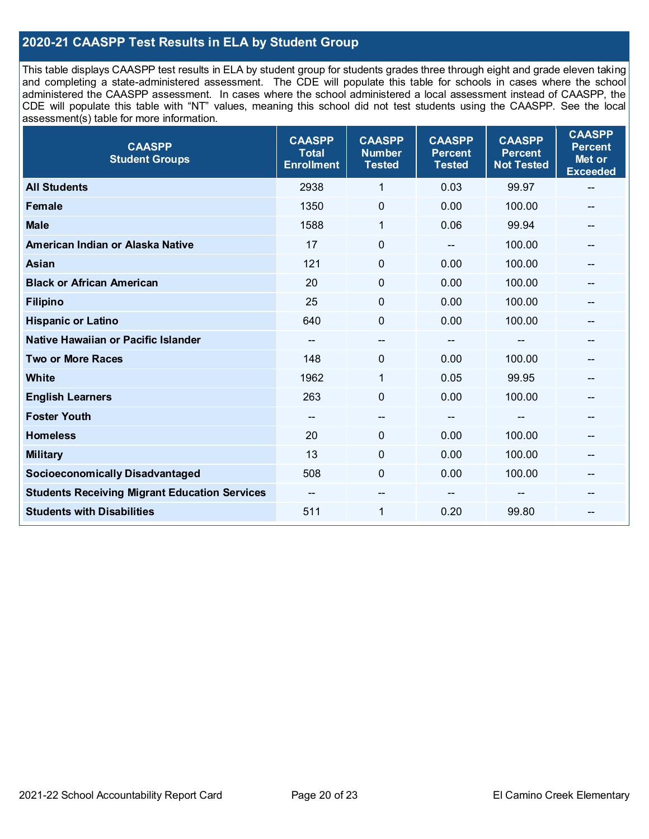### **2020-21 CAASPP Test Results in ELA by Student Group**

This table displays CAASPP test results in ELA by student group for students grades three through eight and grade eleven taking and completing a state-administered assessment. The CDE will populate this table for schools in cases where the school administered the CAASPP assessment. In cases where the school administered a local assessment instead of CAASPP, the CDE will populate this table with "NT" values, meaning this school did not test students using the CAASPP. See the local assessment(s) table for more information.

| <b>CAASPP</b><br><b>Student Groups</b>               | <b>CAASPP</b><br><b>Total</b><br><b>Enrollment</b> | <b>CAASPP</b><br><b>Number</b><br><b>Tested</b> | <b>CAASPP</b><br><b>Percent</b><br><b>Tested</b> | <b>CAASPP</b><br><b>Percent</b><br><b>Not Tested</b> | <b>CAASPP</b><br><b>Percent</b><br>Met or<br><b>Exceeded</b> |
|------------------------------------------------------|----------------------------------------------------|-------------------------------------------------|--------------------------------------------------|------------------------------------------------------|--------------------------------------------------------------|
| <b>All Students</b>                                  | 2938                                               | 1                                               | 0.03                                             | 99.97                                                | --                                                           |
| <b>Female</b>                                        | 1350                                               | $\mathbf 0$                                     | 0.00                                             | 100.00                                               | --                                                           |
| <b>Male</b>                                          | 1588                                               | $\mathbf{1}$                                    | 0.06                                             | 99.94                                                | --                                                           |
| American Indian or Alaska Native                     | 17                                                 | $\pmb{0}$                                       | $\qquad \qquad \blacksquare$                     | 100.00                                               | --                                                           |
| <b>Asian</b>                                         | 121                                                | 0                                               | 0.00                                             | 100.00                                               |                                                              |
| <b>Black or African American</b>                     | 20                                                 | $\mathbf 0$                                     | 0.00                                             | 100.00                                               | --                                                           |
| <b>Filipino</b>                                      | 25                                                 | $\mathbf 0$                                     | 0.00                                             | 100.00                                               | --                                                           |
| <b>Hispanic or Latino</b>                            | 640                                                | $\mathbf 0$                                     | 0.00                                             | 100.00                                               | $\qquad \qquad \qquad \qquad$                                |
| Native Hawaiian or Pacific Islander                  | --                                                 | $\overline{\phantom{a}}$                        | --                                               | --                                                   | --                                                           |
| <b>Two or More Races</b>                             | 148                                                | 0                                               | 0.00                                             | 100.00                                               | --                                                           |
| <b>White</b>                                         | 1962                                               | 1                                               | 0.05                                             | 99.95                                                | --                                                           |
| <b>English Learners</b>                              | 263                                                | $\mathbf 0$                                     | 0.00                                             | 100.00                                               |                                                              |
| <b>Foster Youth</b>                                  | $\overline{\phantom{m}}$                           | $\hspace{0.05cm}$ – $\hspace{0.05cm}$           | $\hspace{0.05cm}$ – $\hspace{0.05cm}$            | $-$                                                  | --                                                           |
| <b>Homeless</b>                                      | 20                                                 | $\pmb{0}$                                       | 0.00                                             | 100.00                                               | --                                                           |
| <b>Military</b>                                      | 13                                                 | $\mathbf 0$                                     | 0.00                                             | 100.00                                               | --                                                           |
| <b>Socioeconomically Disadvantaged</b>               | 508                                                | $\Omega$                                        | 0.00                                             | 100.00                                               | --                                                           |
| <b>Students Receiving Migrant Education Services</b> |                                                    | --                                              |                                                  |                                                      |                                                              |
| <b>Students with Disabilities</b>                    | 511                                                | $\mathbf{1}$                                    | 0.20                                             | 99.80                                                | --                                                           |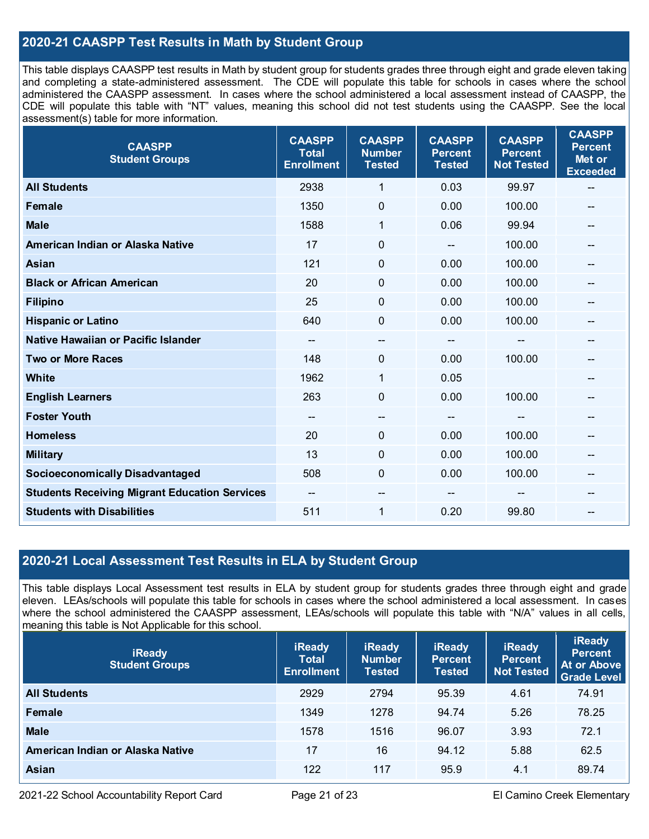### **2020-21 CAASPP Test Results in Math by Student Group**

This table displays CAASPP test results in Math by student group for students grades three through eight and grade eleven taking and completing a state-administered assessment. The CDE will populate this table for schools in cases where the school administered the CAASPP assessment. In cases where the school administered a local assessment instead of CAASPP, the CDE will populate this table with "NT" values, meaning this school did not test students using the CAASPP. See the local assessment(s) table for more information.

| <b>CAASPP</b><br><b>Student Groups</b>               | <b>CAASPP</b><br><b>Total</b><br><b>Enrollment</b> | <b>CAASPP</b><br><b>Number</b><br><b>Tested</b> | <b>CAASPP</b><br><b>Percent</b><br><b>Tested</b> | <b>CAASPP</b><br><b>Percent</b><br><b>Not Tested</b> | <b>CAASPP</b><br><b>Percent</b><br>Met or<br><b>Exceeded</b> |
|------------------------------------------------------|----------------------------------------------------|-------------------------------------------------|--------------------------------------------------|------------------------------------------------------|--------------------------------------------------------------|
| <b>All Students</b>                                  | 2938                                               | $\mathbf{1}$                                    | 0.03                                             | 99.97                                                | --                                                           |
| <b>Female</b>                                        | 1350                                               | $\mathbf 0$                                     | 0.00                                             | 100.00                                               |                                                              |
| <b>Male</b>                                          | 1588                                               | 1                                               | 0.06                                             | 99.94                                                | $-$                                                          |
| American Indian or Alaska Native                     | 17                                                 | $\pmb{0}$                                       | $-$                                              | 100.00                                               | --                                                           |
| Asian                                                | 121                                                | 0                                               | 0.00                                             | 100.00                                               | --                                                           |
| <b>Black or African American</b>                     | 20                                                 | $\Omega$                                        | 0.00                                             | 100.00                                               | --                                                           |
| <b>Filipino</b>                                      | 25                                                 | $\mathbf 0$                                     | 0.00                                             | 100.00                                               |                                                              |
| <b>Hispanic or Latino</b>                            | 640                                                | $\mathbf 0$                                     | 0.00                                             | 100.00                                               | $\overline{\phantom{a}}$                                     |
| Native Hawaiian or Pacific Islander                  | --                                                 | --                                              | --                                               | --                                                   | --                                                           |
| <b>Two or More Races</b>                             | 148                                                | 0                                               | 0.00                                             | 100.00                                               | --                                                           |
| <b>White</b>                                         | 1962                                               | 1                                               | 0.05                                             |                                                      |                                                              |
| <b>English Learners</b>                              | 263                                                | $\mathbf 0$                                     | 0.00                                             | 100.00                                               |                                                              |
| <b>Foster Youth</b>                                  | --                                                 | $\hspace{0.05cm}$ – $\hspace{0.05cm}$           | --                                               | $\mathbf{m}$                                         | --                                                           |
| <b>Homeless</b>                                      | 20                                                 | $\mathbf 0$                                     | 0.00                                             | 100.00                                               | --                                                           |
| <b>Military</b>                                      | 13                                                 | $\mathbf 0$                                     | 0.00                                             | 100.00                                               |                                                              |
| <b>Socioeconomically Disadvantaged</b>               | 508                                                | 0                                               | 0.00                                             | 100.00                                               | --                                                           |
| <b>Students Receiving Migrant Education Services</b> | --                                                 | --                                              |                                                  |                                                      |                                                              |
| <b>Students with Disabilities</b>                    | 511                                                | 1                                               | 0.20                                             | 99.80                                                | $-$                                                          |

#### **2020-21 Local Assessment Test Results in ELA by Student Group**

This table displays Local Assessment test results in ELA by student group for students grades three through eight and grade eleven. LEAs/schools will populate this table for schools in cases where the school administered a local assessment. In cases where the school administered the CAASPP assessment, LEAs/schools will populate this table with "N/A" values in all cells, meaning this table is Not Applicable for this school.

| <b>iReady</b><br><b>Student Groups</b> | <b>iReady</b><br><b>Total</b><br><b>Enrollment</b> | <b>iReady</b><br><b>Number</b><br><b>Tested</b> | <b>iReady</b><br><b>Percent</b><br><b>Tested</b> | <b>iReady</b><br><b>Percent</b><br><b>Not Tested</b> | <b>iReady</b><br><b>Percent</b><br>At or Above<br><b>Grade Level</b> |
|----------------------------------------|----------------------------------------------------|-------------------------------------------------|--------------------------------------------------|------------------------------------------------------|----------------------------------------------------------------------|
| <b>All Students</b>                    | 2929                                               | 2794                                            | 95.39                                            | 4.61                                                 | 74.91                                                                |
| Female                                 | 1349                                               | 1278                                            | 94.74                                            | 5.26                                                 | 78.25                                                                |
| <b>Male</b>                            | 1578                                               | 1516                                            | 96.07                                            | 3.93                                                 | 72.1                                                                 |
| American Indian or Alaska Native       | 17                                                 | 16                                              | 94.12                                            | 5.88                                                 | 62.5                                                                 |
| <b>Asian</b>                           | 122                                                | 117                                             | 95.9                                             | 4.1                                                  | 89.74                                                                |

2021-22 School Accountability Report Card Page 21 of 23 El Camino Creek Elementary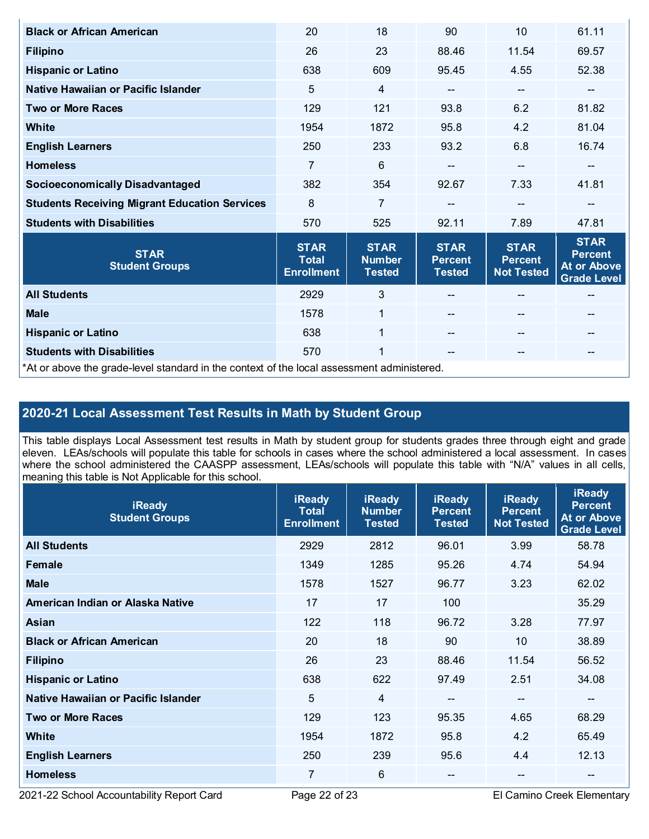| <b>Black or African American</b>                                                           | 20                                               | 18                                            | 90                                             | 10                                                 | 61.11                                                              |  |  |
|--------------------------------------------------------------------------------------------|--------------------------------------------------|-----------------------------------------------|------------------------------------------------|----------------------------------------------------|--------------------------------------------------------------------|--|--|
| <b>Filipino</b>                                                                            | 26                                               | 23                                            | 88.46                                          | 11.54                                              | 69.57                                                              |  |  |
| <b>Hispanic or Latino</b>                                                                  | 638                                              | 609                                           | 95.45                                          | 4.55                                               | 52.38                                                              |  |  |
| Native Hawaiian or Pacific Islander                                                        | 5                                                | 4                                             | --                                             | --                                                 | --                                                                 |  |  |
| <b>Two or More Races</b>                                                                   | 129                                              | 121                                           | 93.8                                           | 6.2                                                | 81.82                                                              |  |  |
| White                                                                                      | 1954                                             | 1872                                          | 95.8                                           | 4.2                                                | 81.04                                                              |  |  |
| <b>English Learners</b>                                                                    | 250                                              | 233                                           | 93.2                                           | 6.8                                                | 16.74                                                              |  |  |
| <b>Homeless</b>                                                                            | 7                                                | $6\phantom{1}$                                | --                                             | $-$                                                |                                                                    |  |  |
| <b>Socioeconomically Disadvantaged</b>                                                     | 382                                              | 354                                           | 92.67                                          | 7.33                                               | 41.81                                                              |  |  |
| <b>Students Receiving Migrant Education Services</b>                                       | 8                                                | $\overline{7}$                                |                                                | --                                                 | --                                                                 |  |  |
| <b>Students with Disabilities</b>                                                          | 570                                              | 525                                           | 92.11                                          | 7.89                                               | 47.81                                                              |  |  |
| <b>STAR</b><br><b>Student Groups</b>                                                       | <b>STAR</b><br><b>Total</b><br><b>Enrollment</b> | <b>STAR</b><br><b>Number</b><br><b>Tested</b> | <b>STAR</b><br><b>Percent</b><br><b>Tested</b> | <b>STAR</b><br><b>Percent</b><br><b>Not Tested</b> | <b>STAR</b><br><b>Percent</b><br>At or Above<br><b>Grade Level</b> |  |  |
| <b>All Students</b>                                                                        | 2929                                             | $\mathfrak{S}$                                |                                                |                                                    | --                                                                 |  |  |
| <b>Male</b>                                                                                | 1578                                             | $\mathbf{1}$                                  |                                                | $\qquad \qquad -$                                  | --                                                                 |  |  |
| <b>Hispanic or Latino</b>                                                                  | 638                                              | $\mathbf{1}$                                  |                                                | $-$                                                | --                                                                 |  |  |
| <b>Students with Disabilities</b>                                                          | 570                                              | 1                                             | --                                             | $- -$                                              | --                                                                 |  |  |
| *At or above the grade-level standard in the context of the local assessment administered. |                                                  |                                               |                                                |                                                    |                                                                    |  |  |

# **2020-21 Local Assessment Test Results in Math by Student Group**

This table displays Local Assessment test results in Math by student group for students grades three through eight and grade eleven. LEAs/schools will populate this table for schools in cases where the school administered a local assessment. In cases where the school administered the CAASPP assessment, LEAs/schools will populate this table with "N/A" values in all cells, meaning this table is Not Applicable for this school.

| <b>iReady</b><br><b>Student Groups</b> | <b>iReady</b><br><b>Total</b><br><b>Enrollment</b> | <b>iReady</b><br><b>Number</b><br><b>Tested</b> | <b>iReady</b><br><b>Percent</b><br><b>Tested</b> | <b>iReady</b><br><b>Percent</b><br><b>Not Tested</b> | <b>iReady</b><br><b>Percent</b><br><b>At or Above</b><br><b>Grade Level</b> |
|----------------------------------------|----------------------------------------------------|-------------------------------------------------|--------------------------------------------------|------------------------------------------------------|-----------------------------------------------------------------------------|
| <b>All Students</b>                    | 2929                                               | 2812                                            | 96.01                                            | 3.99                                                 | 58.78                                                                       |
| Female                                 | 1349                                               | 1285                                            | 95.26                                            | 4.74                                                 | 54.94                                                                       |
| <b>Male</b>                            | 1578                                               | 1527                                            | 96.77                                            | 3.23                                                 | 62.02                                                                       |
| American Indian or Alaska Native       | 17                                                 | 17                                              | 100                                              |                                                      | 35.29                                                                       |
| Asian                                  | 122                                                | 118                                             | 96.72                                            | 3.28                                                 | 77.97                                                                       |
| <b>Black or African American</b>       | 20                                                 | 18                                              | 90                                               | 10                                                   | 38.89                                                                       |
| <b>Filipino</b>                        | 26                                                 | 23                                              | 88.46                                            | 11.54                                                | 56.52                                                                       |
| <b>Hispanic or Latino</b>              | 638                                                | 622                                             | 97.49                                            | 2.51                                                 | 34.08                                                                       |
| Native Hawaiian or Pacific Islander    | 5                                                  | $\overline{4}$                                  | $\overline{\phantom{a}}$                         | $\overline{\phantom{a}}$                             | --                                                                          |
| <b>Two or More Races</b>               | 129                                                | 123                                             | 95.35                                            | 4.65                                                 | 68.29                                                                       |
| <b>White</b>                           | 1954                                               | 1872                                            | 95.8                                             | 4.2                                                  | 65.49                                                                       |
| <b>English Learners</b>                | 250                                                | 239                                             | 95.6                                             | 4.4                                                  | 12.13                                                                       |
| <b>Homeless</b>                        | 7                                                  | 6                                               |                                                  | --                                                   | $\qquad \qquad \qquad -$                                                    |